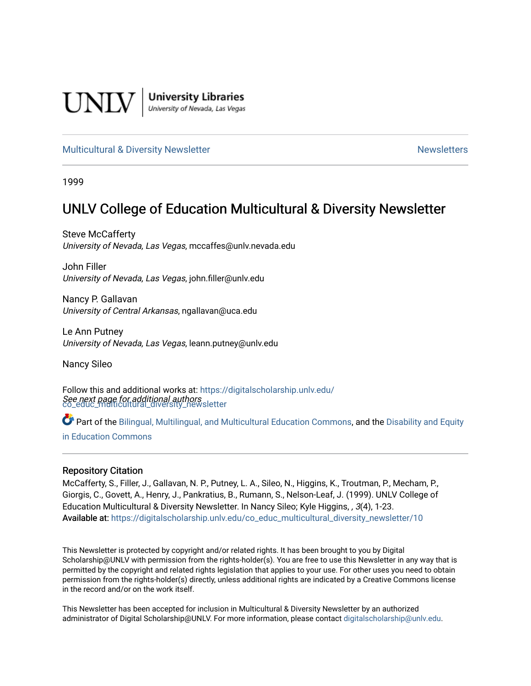

**University Libraries**<br>University of Nevada, Las Vegas

#### [Multicultural & Diversity Newsletter](https://digitalscholarship.unlv.edu/co_educ_multicultural_diversity_newsletter) Newsletter [Newsletters](https://digitalscholarship.unlv.edu/co_educ_newsletters) Newsletters

1999

# UNLV College of Education Multicultural & Diversity Newsletter

Steve McCafferty University of Nevada, Las Vegas, mccaffes@unlv.nevada.edu

John Filler University of Nevada, Las Vegas, john.filler@unlv.edu

Nancy P. Gallavan University of Central Arkansas, ngallavan@uca.edu

Le Ann Putney University of Nevada, Las Vegas, leann.putney@unlv.edu

Nancy Sileo

See next page for additional authors [co\\_educ\\_multicultural\\_diversity\\_newsletter](https://digitalscholarship.unlv.edu/co_educ_multicultural_diversity_newsletter?utm_source=digitalscholarship.unlv.edu%2Fco_educ_multicultural_diversity_newsletter%2F10&utm_medium=PDF&utm_campaign=PDFCoverPages)  Follow this and additional works at: [https://digitalscholarship.unlv.edu/](https://digitalscholarship.unlv.edu/co_educ_multicultural_diversity_newsletter?utm_source=digitalscholarship.unlv.edu%2Fco_educ_multicultural_diversity_newsletter%2F10&utm_medium=PDF&utm_campaign=PDFCoverPages)

Part of the [Bilingual, Multilingual, and Multicultural Education Commons,](http://network.bepress.com/hgg/discipline/785?utm_source=digitalscholarship.unlv.edu%2Fco_educ_multicultural_diversity_newsletter%2F10&utm_medium=PDF&utm_campaign=PDFCoverPages) and the Disability and Equity [in Education Commons](http://network.bepress.com/hgg/discipline/1040?utm_source=digitalscholarship.unlv.edu%2Fco_educ_multicultural_diversity_newsletter%2F10&utm_medium=PDF&utm_campaign=PDFCoverPages)

#### Repository Citation

McCafferty, S., Filler, J., Gallavan, N. P., Putney, L. A., Sileo, N., Higgins, K., Troutman, P., Mecham, P., Giorgis, C., Govett, A., Henry, J., Pankratius, B., Rumann, S., Nelson-Leaf, J. (1999). UNLV College of Education Multicultural & Diversity Newsletter. In Nancy Sileo; Kyle Higgins, , 3(4), 1-23. Available at: [https://digitalscholarship.unlv.edu/co\\_educ\\_multicultural\\_diversity\\_newsletter/10](https://digitalscholarship.unlv.edu/co_educ_multicultural_diversity_newsletter/10) 

This Newsletter is protected by copyright and/or related rights. It has been brought to you by Digital Scholarship@UNLV with permission from the rights-holder(s). You are free to use this Newsletter in any way that is permitted by the copyright and related rights legislation that applies to your use. For other uses you need to obtain permission from the rights-holder(s) directly, unless additional rights are indicated by a Creative Commons license in the record and/or on the work itself.

This Newsletter has been accepted for inclusion in Multicultural & Diversity Newsletter by an authorized administrator of Digital Scholarship@UNLV. For more information, please contact [digitalscholarship@unlv.edu.](mailto:digitalscholarship@unlv.edu)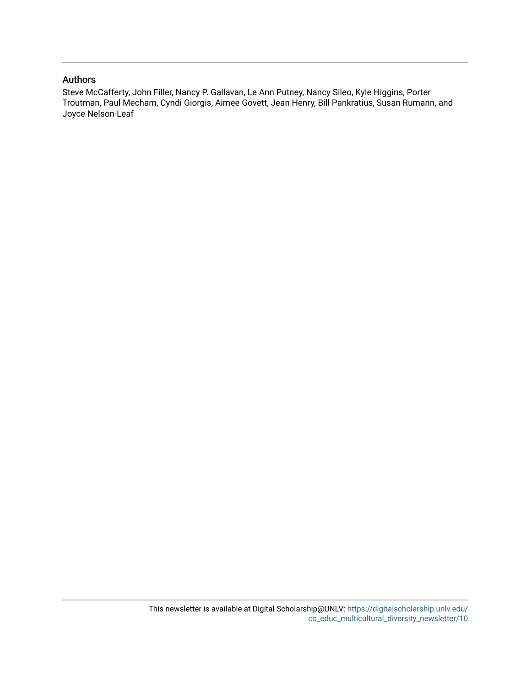#### Authors

Steve McCafferty, John Filler, Nancy P. Gallavan, Le Ann Putney, Nancy Sileo, Kyle Higgins, Porter Troutman, Paul Mecham, Cyndi Giorgis, Aimee Govett, Jean Henry, Bill Pankratius, Susan Rumann, and Joyce Nelson-Leaf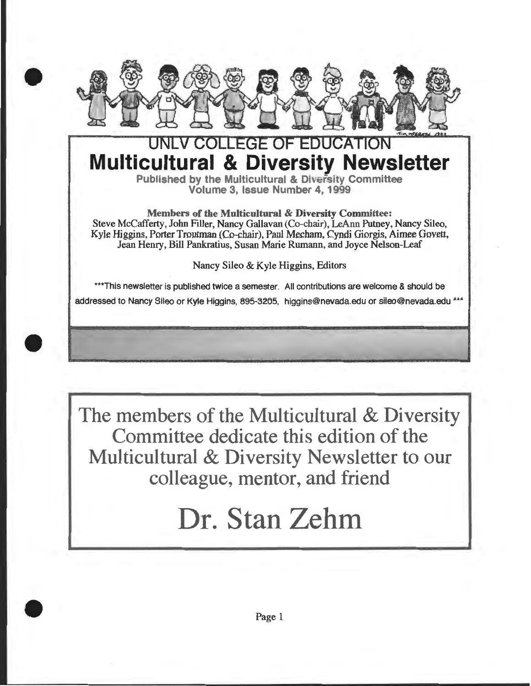

•

•

•

# CONFECT OF EDUCATION **Multicultural & Diversity Newsletter**

Published by the Multicultural & Diversity Committee Volume 3, Issue Number 4, 1999

Members of the Multicultural & Diversity Committee: Steve McCafferty, John Filler, Nancy Gallavan (Co-chair), LeAnn Putney, Nancy Sileo, Kyle Higgins, Porter Troutman (Co-chair), Paul Mecham, Cyndi Giorgis, Aimee Govett, Jean Henry, Bill Pankratius, Susan Marie Rumann, and Joyce Nelson-Leaf

Nancy Sileo & Kyle Higgins, Editors

\*\*\*This newsletter is published twice a semester. All contributions are welcome & should be addressed to Nancy Sileo or Kyle Higgins, 895-3205, higgins@nevada.edu or sileo@nevada.edu \*\*\*

The members of the Multicultural & Diversity Committee dedicate this edition of the Multicultural & Diversity Newsletter to our colleague, mentor, and friend

# Dr. Stan Zehm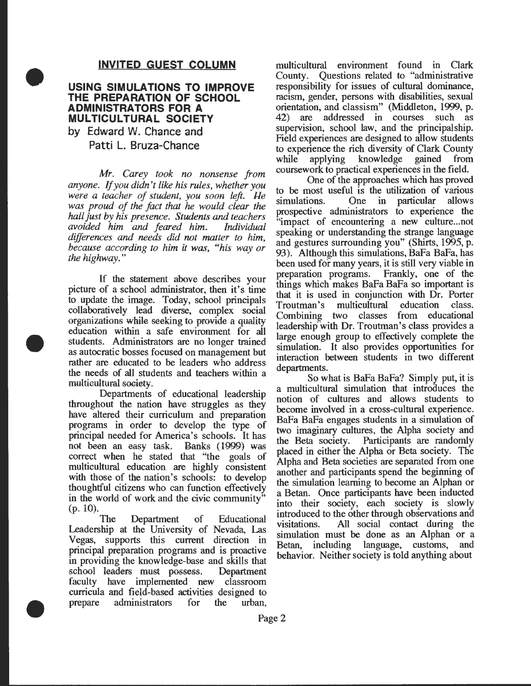#### **INVITED GUEST COLUMN**

### **USING SIMULATIONS TO IMPROVE THE PREPARATION OF SCHOOL ADMINISTRATORS FOR A MULTICULTURAL SOCIETY**

by Edward W. Chance and Patti L. Bruza-Chance

•

•

•

*Mr. Carey took no nonsense from anyone.* If *you didn't like his rules, whether you were a teacher of student, you soon left. Ile was proud of the fact that he would clear the hall just by his presence. Students and teachers avoided him and feared him. Individual differences and needs did not matter to him because according to him it way "his way o; the highway."* '

If the statement above describes your picture of a school administrator, then it's time to update the image. Today, school principals collaboratively lead diverse, complex social organizations while seeking to provide a quality education wtthin a safe environment for all students. Administrators are no longer trained as autocratic bosses focused on management but rather are educated to be leaders who address the needs of all students and teachers within a multicultural society.

Departments of educational leadership throughout the nation have struggles as they have altered their curriculum and preparation programs in order to develop the type of principal needed for America's schools. It has not been an easy task. Eanks ( 1999) was correct when he stated that "the goals of multicultural education are highly consistent with those of the nation's schools: to develop thoughtful citizens who can function effectively in the world of work and the civic community" (p. 10).

The Department of Educational Leadership at the University of Nevada, Las Vegas, supports this current direction in principal preparation programs and is proactive in providing the knowledge-base and skills that school leaders must possess. Department faculty have implemented new classroom curricula and field-based activities designed to prepare administrators for the urban,

multicultural environment found in Clark County. Questions related to "administrative responsibility for issues of cultural dominance, racism, gender, persons with disabilities, sexual orientation, and classism" (Middleton, 1999, p. 42) are addressed in courses such as supervision, school law, and the principalship. Field experiences are designed to allow students to experience the rich diversity of Clark County<br>while applying knowledge gained from applying knowledge gained from coursework to practical experiences in the field.

One of the approaches which has proved to be most useful is the utilization of various simulations. One in particular allows prospective administrators to experience the "impact of encountering a new culture... not speaking or understanding the strange language and gestures surrounding you" (Shirts, 1995, p. 93). Although this simulations, BaFa BaFa, has been used for many years, it is still very viable in preparation programs. Frankly, one of the things which makes BaFa BaFa so important is that it is used in conjunction with Dr. Porter<br>Troutman's multicultural education class. Troutman's multicultural education class. Combining two classes from educational leadership with Dr. Troutman's class provides a large enough group to effectively complete the simulation. It also provides opportunities for interaction between students in two different departments.

So what is BaFa BaFa? Simply put, it is a multicultural simulation that introduces the notion of cultures and allows students to become involved in a cross-cultural experience. BaFa BaFa engages students in a simulation of two imaginary cultures, the Alpha society and the Beta society. Participants are randomly placed in either the Alpha or Beta society. The Alpha and Beta societies are separated from one another and participants spend the beginning of the simulation learning to become an Alphan or a Betan. Once participants have been inducted into their society, each society is slowly introduced to the other through observations and visitations. All social contact during the simulation must be done as an Alphan or a Betan, including language, customs, and behavior. Neither society is told anything about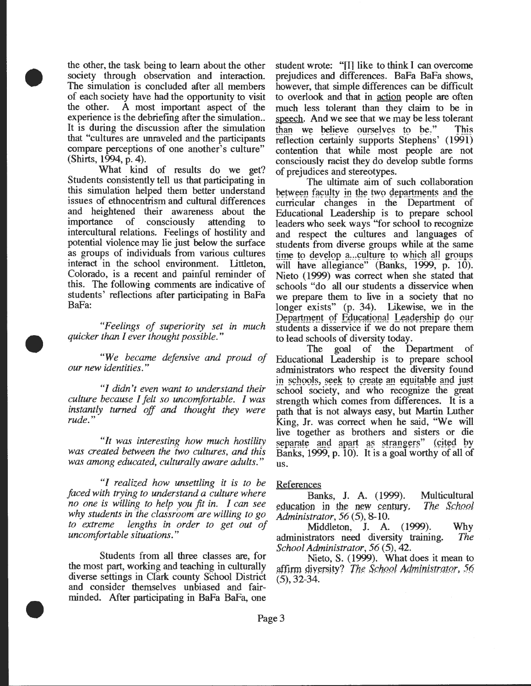the other, the task being to learn about the other society through observation and interaction. The simulation is concluded after all members of each society have had the opportunity to visit the other. A most important aspect of the experience is the debriefing after the simulation.. It is during the discussion after the simulation that "cultures are unraveled and the participants compare perceptions of one another's culture" (Shirts, 1994, p. 4).

•

•

•

What kind of results do we get? Students consistently tell us that participating in this simulation helped them better understand issues of ethnocentrism and cultural differences and heightened their awareness about the importance of consciously attending to intercultural relations. Feelings of hostility and potential violence may lie just below the surface as groups of individuals from various cultures interact in the school environment. Littleton, Colorado, is a recent and painful reminder of this. The following comments are indicative of students' reflections after participating in BaFa BaFa:

*"Feelings of superiority set in much quicker than I ever thought possible."* 

*"We became defensive and proud of our new identities."* 

*"I didn't even want to understand their culture because I felt so uncomfortable. I was instantly turned off and thought they were rude."* 

*"It was interesting how much hostility was created between the iwo cultures, and this was among educated, culturally aware adults."* 

*"I realized how unsettling it is to be faced with trying to understand a culture where no one is willing to help you fit in. I can see why students in ·ihe classroom" are willing to go to extreme lengths in order to get out of uncomfortable situations."* 

Students from all three classes are, for the most part, working and teaching in culturally diverse settings in Cfark county School District and consider themselves unbiased and fairminded. Mter participating in BaFa BaFa, one

student wrote: "fll like to think I can overcome prejudices and differences. BaFa BaFa shows, however, that simple differences can be difficult to overlook and that in action people are often much less tolerant than they claim to be in speech. And we see that we may be less tolerant than we believe ourselves to be." This reflection certainly supports Stephens' (1991) contention that while most people are not consciously racist they do develop subtle forms of prejudices and stereotypes.

The ultimate aim of such collaboration between faculty in the two departments and the curricular changes in the Department of Educational Leadership is to prepare school leaders who seek ways "for school to recognize and respect the cultures and languages of students from diverse groups while at the same time to develop a...culture to which all groups will have allegiance" (Banks, 1999, p. 10). Nieto (1999) was correct when she stated that schools "do all our students a disservice when we prepare them to live in a society that no longer exists" (p. 34). Likewise, we in the Department of Educational Leadership do our students a disservice if we do not prepare them to lead schools of diversity today .

The goal of the Department of Educational Leadership is to prepare school administrators who respect the diversity found in schools, seek to create an equitable and just school society, and who recognize the great strength which comes from differences. It is a path that is not always easy, but Martin Luther King, Jr. was correct when he said, "We will live together as brothers and sisters or die separate and apart as strangers" (cited by Banks, 1999, p. 10). It is a goal worthy of all of us.

#### References

Banks, J. A. (1999). Multicultural education in the new century, The School *Administrator, 56* (5), 8-10.

Middleton, J. A. (1999). Why administrators need diversity training. *The School Administrator, 56* (5), 42.

Nieto, S. (1999). What does it mean to affirm diversity? The *School Administrator*, 56 (5), 32-34.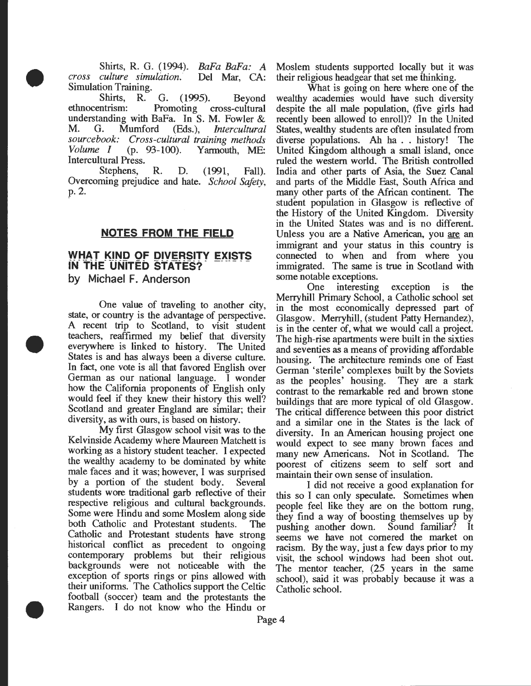Shirts, R. G. (1994). *BaFa BaFa: A cross culture simulation.* Del Mar, CA: Simulation Training.

•

•

•

Shirts, R. G. (1995). Beyond ethnocentrism: Promoting cross-cultural understanding with BaFa. In S. M. Fowler & M. G. Mumford (Eds.), *Intercultural sourcebook: Cross-cultural training methods Volume I* (p. 93-100). Yarmouth, ME: Intercultural Press.

Stephens, R. D. (1991, Fall). Overcoming prejudice and hate. *School Safety,*  p.2.

#### **NOTES FROM THE FIELD**

# **WHAT KIND OF DIVERSITY EXISTS iN- THE- UNITED STATES?-** ----- - **by Michael F. Anderson**

One value of traveling to another city, state, or country is the advantage of perspective. A recent trip to Scotland, to visit student teachers, reaffirmed my belief that diversity everywhere is linked to history. The United States is and has always been a diverse culture. In fact, one vote is all that favored English over German as our national language. I wonder how the Ealifornia proponents of English only would feel if they knew their history this well? Scotland and greater England are similar; their diversity, as with ours, is based on history.

My first Glasgow school visit was to the Kelvinside Academy where Maureen Matchett is working as a history student teacher. I expected the wealthy academy to be dominated by white male faces and it was; however, I was surprised by a portion of the student body. Several students wore traditional garb reflective of their respective religious and cultural backgrounds. Some were Hindu and some Moslem along side both Catholic and Protestant students. The Catholic and Protestant students have strong historical conflict as precedent to ongoing contemporary problems but their religious backgrounds were not noticeable with the exception of sports rings or pins allowed with their uniforms. The Catholics support the Celtic football (soccer) team and the protestants the Rangers. I do not know who the Hindu or

Moslem students supported locally but it was their religious headgear that set me thinking.

What is going on here where one of the wealthy academies would have such diversity despite the all male population, (five girls had recently been allowed to enroll)? In the United States, wealthy students are often insulated from diverse popuiations. Ah ha .. history! The United Kingdom although a small island, once ruled the western world. The British controlled India and other parts of Asia, the Suez Canal and parts of the Middle East, South Africa and many other parts of the African continent. The student population in Glasgow is reflective of the History of the United Kingdom. Diversity in the United States was and is no different. Unless you are a Native American, you are an immigrant and your status in this country is connected to when and from where you immigrated. The same is true in Scotland with some notable exceptions.

One interesting exception is the Merryhill Primary School, a Catholic school set in the most economically depressed part of Glasgow. Merryhill, (student Patty Hernandez), is in the center of, what we would call a project. The high-rise apartments were built in the sixties and seventies as a means of providing affordable housing. The architecture reminds one of East German 'sterile' complexes built by the Soviets as the peoples' housing. They are a stark contrast to the remarkable red and brown stone buildings that are more typical of old Glasgow. The critical difference between this poor district and a similar one in the States is the lack of diversity. In an American housing project one would expect to see many brown faces and many new Americans. Not in Scotland. The poorest of citizens seem to self sort and maintain their own sense of insulation.

I did not receive a good explanation for this so I can only speculate. Sometimes when people feel like they are on the bottom rung, they find a way of boosting themselves up by pushing another down. Sound familiar? It seems we have not cornered the market on racism. By the way, just a few days prior to my visit, the school windows had been shot out. The mentor teacher. (25 vears in the same school), said it was probably because it was a Catholic school.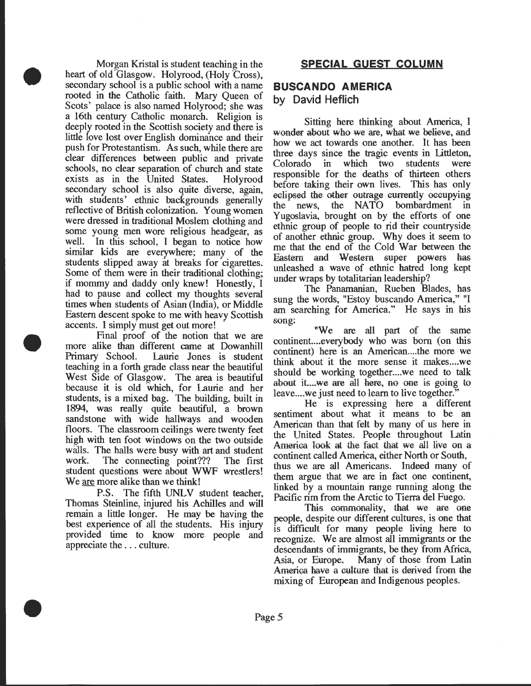Morgan Kristal is student teaching in the heart of old Glasgow. Holyrood, (Holy Cross), secondary school is a public school with a name rooted in the Catholic faith. Mary Queen of Scots' palace is also named Holyrood; she was a 16th century Catholic monarch. Religion is deeply rooted in the Scottish society and there is little love lost over English dommance and their push for Protestantism. As such, while there are clear differences between pubhc and pnvate schools, no clear separation of church and state exists as in the United States. Holyrood secondary school is also quite diverse, again, with students' ethnic backgrounds generally reflective of British colonization. Young women were dressed in traditional Moslem clothing and some young men wore religious headgear, as well. In this school, I began to notice how similar kids are everywhere; many of the students slipped away at breaks for cigarettes. Some of them were in their traditional clothing; if mommy and daddy only knew! Honestly, I had to pause and collect my thoughts several times when students of Asian (India), or Middle Eastern descent spoke to me with heavy Scottish accents. I simply must get out more!

•

•

•

Final proof of the notion that we are more alike than different came at Dowanhill Primary School. Laurie Jones is student teaching in a forth grade class near the beautiful West Side of Glasgow. The area is beautiful because it is old which, for Laurie and her students, is a mixed bag. The building, built in 1894, was really quite beautiful, a brown sandstone with wide hallways and wooden floors. The classroom ceilings were twenty feet high with ten foot windows on the two outside walls. The halls were busy with art and student work. The connecting point??? The first student questions were about WWF wrestlers! We are more alike than we think!

P.S. The fifth UNLV student teacher, Thomas Steinline, injured his Achilles and will remain a little longer. He may be having the best experience of all the students. His injury provided time to know more people and appreciate the ... culture.

# **BUSCANDO AMERICA by David Heflich**

Sitting here thinking about America, I wonder about who we are, what we believe, and how we act towards one another. It has been three days since the tragic events in littleton, Colorado in which two students were responsible for the deaths of thirteen others before taking their own lives. This has only eclipsed the other outrage currently occupying the news, the NATO bombardment in Yugoslavia, brought on by the efforts of one ethnic group of people to rid their countryside of another ethnic group. Why does it seem to me that the end of the Cold War between the Eastern and Western super powers has unleashed a wave of ethnic hatred long kept under wraps by totalitarian leadership?

The Panamanian, Rueben Blades, has sung the words, "Estoy buscando America," "I am searching for America." He says in his song:

"We are all part of the same continent. ... everybody who was born (on this continent) here is an American....the more we think about it the more sense it makes....we should be working together....we need to talk about it....we are all here, no one is going to leave .... we just need to learn to live together.

He is expressing here a different sentiment about what it means to be an American than that felt by many of us here in the United States. People throughout Latin America look at the fact that we all live on a continent called America, either North or South, thus we are all Americans. Indeed many of them argue that we are in fact one continent, linked by a mountain range running along the Pacific rim from the Arctic to Tierra del Fuego.

This commonality, that we are one people, despite our different cultures, is one that is difficult for many people living here to recognize. We are almost all immigrants or the descendants of immigrants, be they from Africa, Asia, or Europe. Many of those from Latin America have a culture that is derived from the mixing of European and Indigenous peoples.

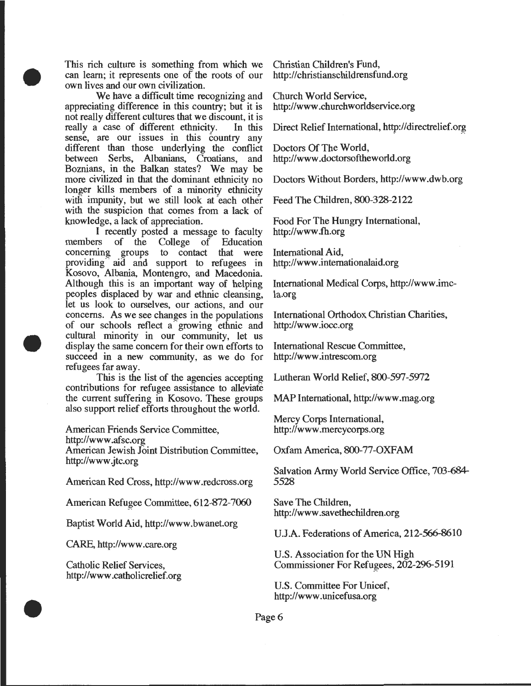This rich culture is something from which we can learn; it represents one of the roots of our own lives and our own civilization.

•

•

•

We have a difficult time recognizing and appreciating difference in this country; but it is not really different cultures that we discount, it is really a case of different ethnicity. In this sense, are our issues in this country any different than those underlying the conflict between Serbs, Albanians, Croatians, and Boznians, in the Balkan states? We may be more civilized in that the dominant ethnicity no longer kills members of a minority ethnicity with impunity, but we still look at each other with the suspicion that comes from a lack of knowledge, a lack of appreciation.

I recently posted a message to faculty members of the College of Education<br>concerning groups to contact that were to contact that were providing<sup>"</sup> aid and support to refugees in Kosovo, Albania, Montengro, and Macedonia. Although this is an important way of helping peoples displaced by war and ethnic cleansing, let us look to ourselves, our actions, and our concerns. As we see changes in the populations of our schools reflect a growing ethnic and cultural minority in our community, let us display the same concern for their own efforts to succeed in a new community, as we do for refugees far away.

This is the list of the agencies accepting contributions for refugee assistance to alleviate the current suffering in Kosovo. These groups also support relief efforts throughout the world.

American Friends Service Committee,

http://www .afsc.org

American Jewish Joint Distribution Committee, http://www.jtc.org

American Red Cross, http://www .redcross.org

American Refugee Committee, 612-872-7060

Baptist World Aid, http://www. bwanet.org

CARE, http://www .care.org

Catholic Relief Services, http://www .catholicrelief.org Christian Children's Fund, http://christianschildrensfund.org

Church World Service, http://www .churchworldservice.org

Direct Relief International, http://directrelief.org

Doctors Of The World, http://www .doctorsoftheworld.org

Doctors Without Borders, http://www.dwb.org

Feed The Children, 800-328-2122

Food For The Hungry International, http://www .fh.org

International Aid, http://www .intemationalaid.org

International Medical Corps, http://www.imcla.org

International Orthodox Christian Charities, http://www .iocc.org

International Rescue Committee, http://www .intrescom.org

Lutheran World Relief, 800-597-5972

MAP International, http://www .mag.org

Mercy Corps International, http://www .mercycorps.org

Oxfam America, 800-77-0XFAM

Salvation Army World Service Office, 703-684- 5528

Save The Children, http://www .savethechildren.org

U.J.A. Federations of America, 212-566-8610

U.S. Association for the UN High Commissioner For Refugees, 202-296-5191

U.S. Committee For Unicef, http://www .unicefusa.org

Page 6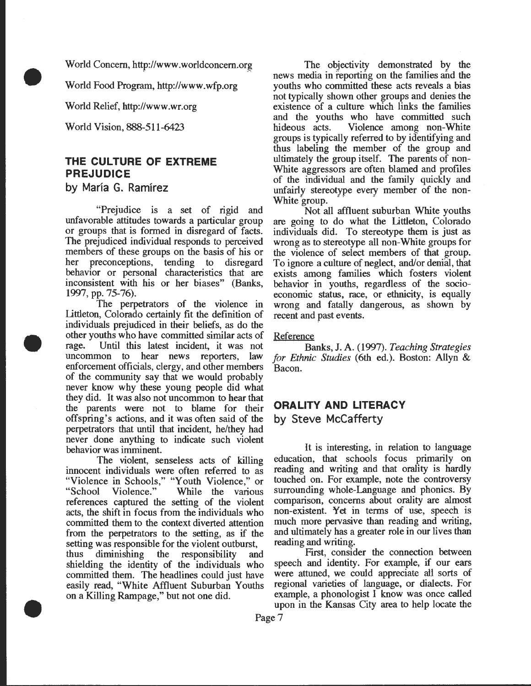World Concern, http://www.worldconcern.org

World Food Program, http://www.wfp.org

World Relief, http://www.wr.org

World Vision, 888-511-6423

•

•

•

# **THE CULTURE OF EXTREME PREJUDICE**

**by Maria G. Ramirez** 

"Prejudice is a set of rigid and unfavorable attitudes towards a particular group or groups that is formed in disregard of facts. The prejudiced individual responds to perceived members of these groups on the basis of his or<br>her preconceptions, tending to disregard her preconceptions, tending to behavior or personal characteristics that are inconsistent with his or her biases" (Banks, 1997, pp. 75-76).

The perpetrators of the violence in Littleton, Colorado certainly fit the definition of individuals prejudiced in their beliefs, as do the other youths who have committed similar acts of rage. Until this latest incident, it was not uncommon to hear news reporters, law enforcement officials, clergy, and other members of the community say that we would probably never know why these young people did what they did. It was also not uncommon to hear that the parents were not to blame for their offspring's actions, and it was often said of the perpetrators that until that incident, he/they had never done anything to indicate such violent behavior was imminent.

The violent, senseless acts of killing innocent individuals were often referred to as "Violence in Schools," "Youth Violence," or<br>"School Violence." While the various While the various references captured the setting of the violent acts, the shift in focus from the individuals who committed them to the context diverted attention from the perpetrators to the setting, as if the setting was responsible for the violent outburst, thus diminishing the responsibility and shielding the identity of the individuals who committed them. The headlines could just have easily read, "White Affluent Suburban Youths on a Killing Rampage," but not one did.

The objectivity demonstrated by the news media in reporting on the families and the youths who committed these acts reveals a bias not typically shown other groups and denies the existence of a culture which links the families and the youths who have committed such hideous acts. Violence among non-White groups is typically referred to by identifying and thus labeling the member of the group and ultimately the group itself. The parents of non-White aggressors are often blamed and profiles of the individual and the family quickly and unfairly stereotype every member of the non-White group.

Not all affluent suburban White youths are going to do what the littleton, Colorado individuals did. To stereotype them is just as wrong as to stereotype all non-White groups for the violence of select members of that group. To ignore a culture of neglect, and/or denial, that exists among families which fosters violent behavior in youths, regardless of the socioeconomic status, race, or ethnicity, is equally wrong and fatally dangerous, as shown by recent and past events.

#### Reference

Banks, J. A. (1997). *Teaching Strategies for Ethnic Studies* (6th ed.). Boston: Allyn & Bacon.

# **ORALITY AND LITERACY by Steve McCafferty**

It is interesting, in relation to language education, that schools focus primarily on reading and writing and that orality is hardly touched on. For example, note the controversy surrounding whole-Language and phonics. By comparison, concerns about orality are almost non-existent. Yet in terms of use, speech is much more pervasive than reading and writing, and ultimately has a greater role in our lives than reading and writing.

First, consider the connection between speech and identity. For example, if our ears were attuned, we could appreciate all sorts of regional varieties of language, or dialects. For example, a phonologist I know was once called upon in the Kansas City area to help locate the

Page 7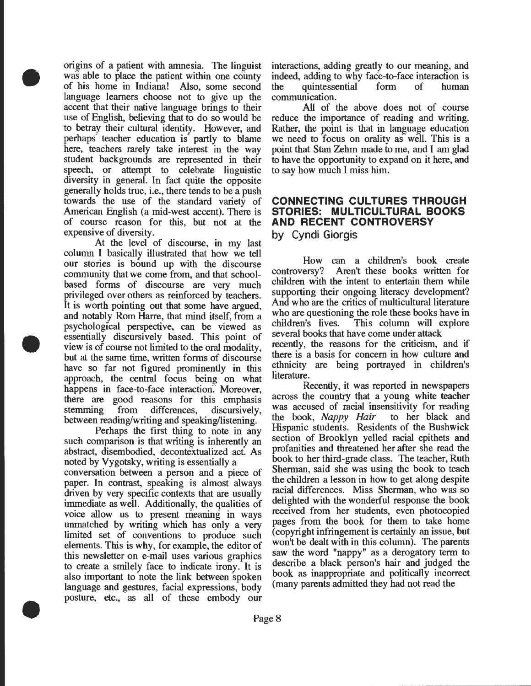origins of a patient with amnesia. The linguist was able to place the patient within one county of his home in Indiana! Also, some second language learners choose not to give up the accent that their native language brings to their use of English, believing that to do so would be to betray their cultural identity. However, and perhaps teacher education is partly to blame here, teachers rarely take interest in the way student backgrounds are represented in their speech, or attempt to celebrate linguistic diversity in general. In fact quite the opposite generally holds true, i.e., there tends to be a push towards the use of the standard variety of American English (a mid-west accent). There is of course reason for this, but not at the expensive of diversity.

•

•

•

At the level of discourse, in my last column I basically illustrated that how we tell our stories is bound up with the discourse community that we come from, and that schoolbased forms of discourse are very much privileged over others as reinforced by teachers. It is worth pointing out that some have argued, and notably Rom Harre, that mind itself, from a psychological perspective, can be viewed as essentially discursively based. This point of view is of course not limited to the oral modality, but at the same time, written forms of discourse have so far not figured prominently in this approach, the central focus being on what happens in face-to-face interaction. Moreover, there are good reasons for this emphasis stemming from differences, discursively, between reading/writing and speaking/listening.

Perhaps the first thing to note in any such comparison is that writing is inherently an abstract, disembodied, decontextualized act: As noted by yygotsky, writing is essentially a

conversation between a person and a piece of paper. In contrast, speaking is almost always driven by very specific contexts that are usually immediate as well. Additionally, the qualities of voice allow us to present meaning in ways unmatched by writing which has only a very limited set of conventions to produce such elements. This is why, for example, the editor of this newsletter on e-mail uses various graphics to create a smilely face to indicate irony. It is also important to note the link between spoken language and gestures, facial expressions, body posture, etc., as all of these embody our

interactions, adding greatly to our meaning, and indeed, adding to why face-to-face interaction is the quintessential form of human communication.

All of the above does not of course reduce the importance of reading and writing. Rather, the point is that in language education we need to focus on orality as well. This is a point that Stan Zehm made to me, and I am glad to have the opportunity to expand on it here, and to say how much I miss him.

#### **CONNECTING CULTURES THROUGH STORIES: MULTICULTURAL BOOKS AND RECENT CONTROVERSY by Cyndi Giorgis**

How can a children's book create<br>controversy? Aren't these books written for Aren't these books written for children with the intent to entertain them while supporting their ongoing literacy development? And who are the critics of multicultural literature who are questioning the role these books have in children's lives. This column will explore several books that have come under attack recently, the reasons for the criticism, and if there is a basis for concern in how culture and ethnicity are being portrayed in children's

literature. Recently, it was reported in newspapers across the country that a young white teacher was accused of racial insensitivity for reading the book, *Nappy Hair* to her black and Hispanic students. Residents of the Bushwick section of Brooklyn yelled racial epithets and profanities and threatened her after she read the book to her third-grade class. The teacher, Ruth Sherman, said she was using the book to teach the children a lesson in how to get along despite racial differences. Miss Sherman, who was so delighted with the wonderful response the book received from her students, even photocopied pages from the book for them to take home (copyright infringement is certainly an issue, but won't be dealt with in this column). The parents saw the word "nappy" as a derogatory term to describe a black person's hair and judged the book as inappropriate and politically incorrect (many parents admitted they had not read the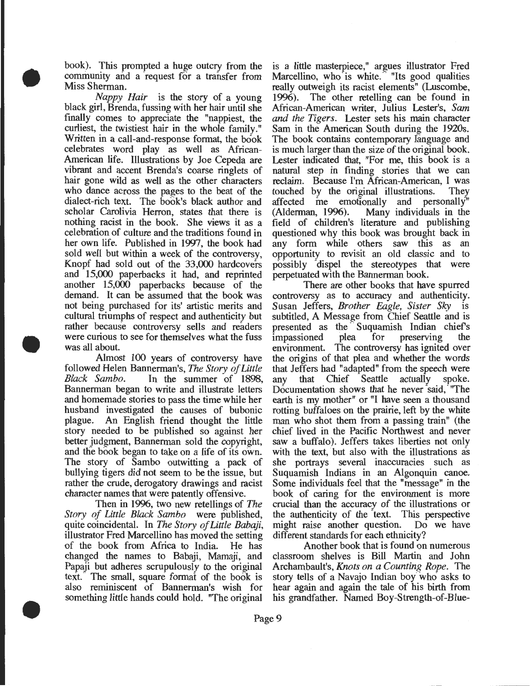book). This prompted a huge outcry from the community and a request for a transfer from Miss Sherman.

•

•

•

*Nappy Hair* is the story of a young black girl, Brenda, fussing with her hair until she finally comes to appreciate the "nappiest, the curliest, the twistiest hair in the whole family." Written in a call-and-response format, the book celebrates word play as well as Mrican-American life. Illustrations by Joe Cepeda are vibrant and accent Brenda's coarse ringlets of hair gone wild as well as the other characters who dance across the pages to the beat of the dialect-rich text. The book's black author and scholar Carolivia Herron, states that there is nothing racist in the book. She views it as a celebration of culture and the traditions found in her own life. Published in 1997, the book had sold well but within a week of the controversy, Knopf had sold out of the 33,000 hardcovers and 15,000 paperbacks it had, and reprinted another 15,000 paperbacks because of the demand. It can be assumed that the book was not being purchased for its' artistic merits and cultural triumphs of respect and authenticity but rather because controversy sells and readers were curious to see for themselves what the fuss was all about.

Almost 100 years of controversy have followed Helen Bannerman's, The *Story ofLittle Black Samba.* In the summer of 1898, Bannerman began to write and illustrate letters and homemade stories to pass the time while her husband investigated the causes of bubonic plague. An English friend thought the little story needed to be published so against her better judgment, Bannerman sold the copyright, and the book began to take on a life of its own. The story of Sambo outwitting a pack of bullying tigers did not seem to be the issue, but rather the crude, derogatory drawings and racist character names that were patently offensive.

Then in 1996, two new retellings of *The Story of Little Black Samba* were published, quite coincidental. In *The Story of Little Babaji,*  illustrator Fred Marcellino has moved the setting of the book from Mrica to India. He has changed the names to Babaji, Mamaji, and Papaji but adheres scrupulously to the original text. The small, square format of the book is also reminiscent of Bannerman's wish for something little hands could hold. "The original

is a little masterpiece," argues illustrator Fred Marcellino, who is white. "Its good qualities really outweigh its racist elements" (Luscombe, 1996). The other retelling can be found in The other retelling can be found in Mrican-American writer, Julius Lester's, *Sam and the Tigers.* Lester sets his main character Sam in the American South during the 1920s. The book contains contemporary language and is much larger than the size of the original book. Lester indicated that, "For me, this book is a natural step in finding stories that we can reclaim. Because I'm African-American, I was touched by the original illustrations. They affected me emotionally and personally (Alderman, 1996). Many individuals in the field of children's literature and publishing questioned why this book was brought back in any form while others saw this as an opportunity to revisit an old classic and to possibly dispel the stereotypes that were perpetuated with the Bannerman book.

There are other books that have spurred controversy as to accuracy and authenticity. Susan Jeffers, *Brother Eagle, Sister Sky* is subtitled, A Message from Chief Seattle and is presented as the Suquamish Indian chief's impassioned plea for preserving the environment. The controversy has ignited over the origins of that plea and whether the words that Jeffers had "adapted" from the speech were any that Chief Seattle actually spoke. Documentation shows that he never said, "The earth is my mother" or "I have seen a thousand rotting buffaloes on the prairie, left by the white man who shot them from a passing train" (the chief lived in the Pacific Northwest and never saw a buffalo). Jeffers takes liberties not only with the text, but also with the illustrations as she portrays several inaccuracies such as Suquamish Indians in an Algonquin canoe. Some individuals feel that the "message" in the book of caring for the environment is more crucial than the accuracy of the illustrations or the authenticity of the text. This perspective might raise another question. Do we have different standards for each ethnicity?

Another book that is found on numerous classroom shelves is Bill Martin and John Archambault's, *Knots on a Counting Rope.* The story tells of a Navajo Indian boy who asks to hear again and again the tale of his birth from his grandfather. Named Boy-Strength-of-Blue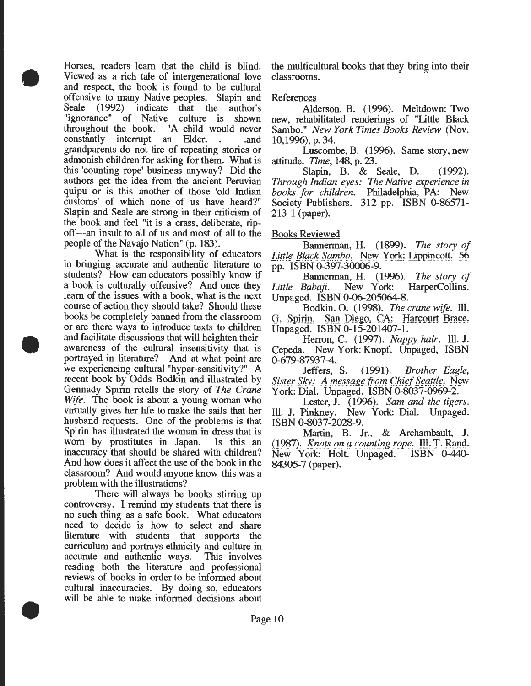Horses, readers learn that the child is blind. Viewed as a rich tale of intergenerational love and respect, the book is found to be cultural offensive to many Native peoples. Slapin and Seale (1992) indicate that the author's "ignorance" of Native culture is shown throughout the book. "A child would never constantly interrupt an Elder. . and grandparents do not tire of repeating stories or admonish children for asking for them. What is this 'counting rope' business anyway? Did the authors get the idea from the ancient Peruvian quipu or is this another of those 'old Indian customs' of which none of us have heard?" Slapin and Seale are strong in their criticism of the book and feel "it is a crass, deliberate, ripoff---an insult to all of us and most of all to the people of the Navajo Nation" (p. 183).

•

•

•

What is the responsibility of educators in bringing accurate and authentic literature to students? How can educators possibly know if a book is culturally offensive? And once they learn of the issues with a book, what is the next course of action they should take? Should these books be completely banned from the classroom or are there ways fo introduce texts to children and facilitate discussions that will heighten their awareness of the cultural insensitivity that is portrayed in literature? And at what point are we experiencing cultural "hyper-sensitivity?" A recent book by Odds Bodkin and illustrated by Gennady Spirin retells the story of *The Crane Wife.* The book is about a young woman who virtually gives her life to make the sails that her husband requests. One of the problems is that Spirin has illustrated the woman in dress that is worn by prostitutes in Japan. Is this an inaccuracy that should be shared with children? And how does it affect the use of the book in the classroom? And would anyone know this was a problem with the illustrations?

There will always be books stirring up controversy. I remind my students that there is no such thing as a safe book. What educators need to decide is how to select and share literature with students that supports the curriculum and portrays ethnicity and culture in accurate and authentic ways. This involves reading both the literature and professional reviews of books in order to be informed about cultural inaccuracies. By doing so, educators will be able to make informed decisions about

the multicultural books that they bring into their classrooms.

#### References

Alderson, B. (1996). Meltdown: Two new, rehabilitated renderings of "Little Black Sambo." *New York Times Books Review* (Nov. 10,1996), p. 34.

Luscombe, B. (1996). Same story, new attitude. *Time,* 148, p. 23.

Slapin, B. & Seale, D. (1992). *Through Indian eyes: The Native experience in books for children.* Philadelphia, PA: New Society Publishers. 312 pp. ISBN 0-86571-213-1 (paper).

#### Books Reviewed

Bannerman, H. ( 1899). The *story of*  Little Black Sambo. New York: Lippincott. 56 pp. ISBN 0-397-30006-9.

Bannerman, H. (1996). *The story of*<br>Little Babaji. New York: HarperCollins. HarperCollins. Unpaged. ISBN 0-06-205064-8.

Bodkin, 0. (1998). *The crane wife.* Ill. *G. Spirin. San Diego, CA: Harcourt Brace.* Unpaged. ISBN 0-15-201407-1.

Herron, C. (1997). *Nappy hair.* Ill. J. Cepeda. New York: Knopf. Unpaged, ISBN

0-679-87937-4.<br>Jeffers, S. (1991). *Brother Eagle,* Sister Sky: A message from Chief Seattle. New York: Dial. Unpaged. ISBN 0-8037-0969-2.

Lester, J. (1996). *Sam and the tigers.*  Ill. J. Pinkney. New York: Dial. Unpaged. ISBN 0-8037-2028-9.

Martin, B. Jr., & Archambault, J. 0987). *Knots on a counting rope.* Ill. T. Rand.<br>New York: Holt. Unpaged. ISBN 0-440-New York: Holt. Unpaged. 84305-7 (paper).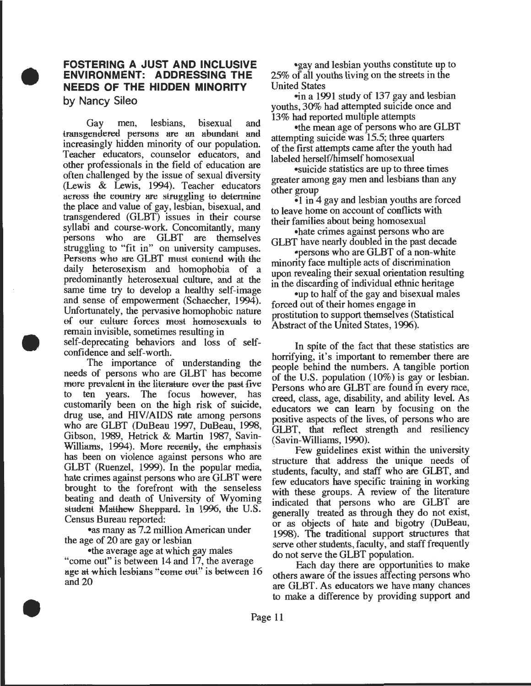# **FOSTERING A JUST AND INCLUSIVE ENVIRONMENT: ADDRESSING THE NEEDS OF THE HIDDEN MINORITY**

**by Nancy Sileo** 

•

•

•

Gay men, lesbians, bisexual and transgendered persons are an abundant and increasingly hidden minority of our population. Teacher educators, counselor educators, and other professionals in the field of education are often challenged by the issue of sexual diversity (Lewis & Lewis, 1994). Teacher educators aeross the country are struggling to determine the place and value of gay, lesbian, bisexual, and transgendered (GLBT) issues in their course syllabi and course-work. Concomitantly, many persons who are GLBT are themselves struggling to "fit in" on university campuses. Persons who are GLBT must contend with the daily heterosexism and homophobia of a predominantly heterosexual culture, and at the same time try to develop a healthy self-image and sense of empowerment (Schaecher, 1994). Unfortunately, the pervasive homophobic nature of our culture forces most homosexuals to remain invisible, sometimes resulting in self-deprecating behaviors and loss of selfconfidence and self-worth.

The importance of understanding the needs of persons who are GLBT has become more prevalent in the literature over the past five to ten years. The focus however, has customarily been on the high risk of suicide, drug use, and HIV/AIDS rate among persons who are GLBT (DuBeau 1997, DuBeau, 1998, Gibson, 1989, Hetrick & Martin 1987, Savin-Williams, 1994). More recently, the emphasis has been on violence against persons who are GLBT (Ruenzel, 1999). In the popular media, hate crimes against persons who are GLBT were brought to the forefront with the senseless beating and death of University of Wyoming student Matthew Sheppard. In 1996, the U.S. Census Bureau reported:

•as many as 7.2 million American under the age of 20 are gay or lesbian

•the average age at which gay males "come out" is between 14 and 17, the average age at which lesbians "come out" is between 16 and 20

•gay and lesbian youths constitute up to  $25\%$  of all youths living on the streets in the United States

-in a 1991 study of 137 gay and lesbian youths, 30% had attempted suicide once and 13% had reported multiple attempts

•the mean age of persons who are GLBT attempting suicide was  $15.5$ ; three quarters of the first attempts came after the youth had labeled herself/himself homosexual

•suicide statistics are up to three times greater among gay men and lesbians than any other group

 $\epsilon$ 1 in 4 gay and lesbian youths are forced to leave home on account of conflicts with their families about being homosexual

•hate crimes against persons who are GLBT have nearly doubled in the past decade

•persons who are GLBT of a non-white minority face multiple acts of discrimination. upon revealing their sexual orientation resulting in the discarding of individual ethnic hentage

•up to half of the gay and bisexual males forced out of their homes engage in prostitution to support themselves (Statistical Abstract of the Uriited States, 1996).

In spite of the fact that these statistics are horrifying, it's important to remember there are people behind the numbers. A tangible portion of the U.S. population  $(10\%)$  is gay or lesbian. Persons who are GLBT are found in every race, creed, class, age, disability, and ability level. As educators we can learn by focusing on the positive aspects of the lives, of persons who are GLBT, that reflect strength and resiliency<br>(Savin-Williams, 1990).

Few guidelines exist within the university. structure that address the unique needs of students, faculty, and staff who are GLBT, and few educators have specific training in working with these groups. A review of the literature indicated that persons who are GLBT are generally treated as through they do not exist, or as objects of hate and bigotry (DuBeau, 1998). The traditional support structures that serve other students, faculty, and staff frequently do not serve the GLBT population.

Each day there are opportunities to make others aware of the issues affecting persons who are GLBT. As educators we have many chances to make a difference by providing support and

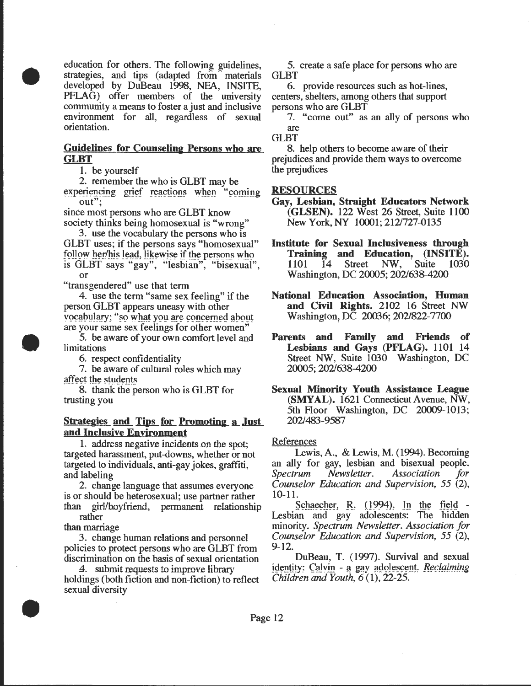education for others. The following guidelines, strategies, and tips (adapted from materials developed by DuBeau 1998, NFA, INSITE, PFLAG) offer members of the university community a means to foster a just and inclusive environment for all, regardless of sexual orientation.

#### Guidelines for Counseling Persons who are GLBT

1. be yourself

•

•

•

2. remember the who is GLBT may be experiencing grief reactions when "coming out";

since most persons who are GLBT know society thinks being homosexual is "wrong"

3. use the vocabulary the persons who is GLBT uses; if the persons says "homosexual" follow her/his lead, likewise if the persons who is GLBT says "gay", "lesbian", "bisexual", or

"transgendered" use that term

4. use the term "same sex feeling" if the person GLBT appears uneasy with other vocabulary; "so what you are concerned about<br>are your same sex feelings for other women"

5. be aware of your own comfort level and limitations

6. respect confidentiality

7. be aware of cultural roles which may affect the students

8. thank the person who is GLBT for trusting you

#### Strategies and Tips for Promoting a Just and Inclusive Environment

1. address negative incidents on the spot; targeted harassment, put-downs, whether or not targeted to individuals, anti-gay jokes, graffiti, and labeling

2. change language that assumes everyone is or should be heterosexual; use partner rather than girl/boyfriend, permanent relationship rather

than marriage

3. change human relations and personnel policies to protect persons who are GLBT from discrimination on the basis of sexual orientation

4. submit requests to improve library holdings (both fiction and non-fiction) to reflect sexual diversity

5. create a safe place for persons who are **GLBT** 

6. provide resources such as hot-lines, centers, shelters, among others that support persons who are GLBT

7. "come out" as an ally of persons who are

GLBT

8. help others to become aware of their prejudices and provide them ways to overcome the prejudices

#### RESOURCES

- Gay, Lesbian, Straight Educators Network (GLSEN). 122 West 26 Street, Suite 1100 New York, NY 10001; 212/727-0135
- Institute for Sexual Inclusiveness through Training and Education, (INSITE).<br>1101 14 Street NW, Suite 1030 1101 14 Street NW, Suite 1030 Washington, DC 20005; 2021638-4200
- National Education Association, Human and Civil Rights. 2102 16 Street NW Washington, DC 20036; 202/822-7700
- Parents and Family and Friends of Lesbians and Gays (PFLAG). 1101 14 Street NW, Suite 1030 Washington, DC 20005; 2021638-4200

Sexual Minority Youth Assistance League (SMYAL). 1621 Connecticut Avenue, NW, 5th Floor Washington, DC 20009-1013; 2021483-9587

#### References

Lewis, A., & Lewis, M. (1994). Becoming an ally for gay, lesbian and bisexual people. *Spectrum Newsletter. Association for Counselor Education and Supervision, 55* (2), 10-11.

Schaecher, R. (1994). In the field -<br>Lesbian and gay adolescents: The hidden minority. *Spectrum Newsletter. Association for Counselor Education and Supervision, 55* (2), 9-12.

DuBeau, T. (1997). Survival and sexual identity: Calvin - a gay adolescent. *Reclaiming*<br>*Children and Youth, 6* (1), 22-25.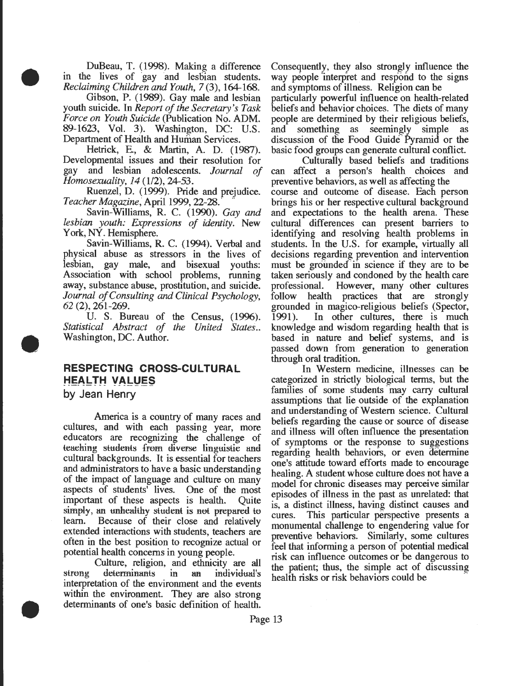DuBeau, T. (1998). Making a difference in the lives of gay and lesbian students. *Reclaiming Children and Youth,* 7 (3), 164-168.

•

•

•

Gibson, P. (1989). Gay male and lesbian youth suicide. In *Report of the Secretary's Task Force on Youth Suicide* (Publication No. ADM. 89-1623, Vol. 3). Washington, DC: U.S. Department of Health and Human Services.

Hetrick, E, & Martin, A. D. (1987). Developmental issues and their resolution for gay and lesbian adolescents. *Journal of Homosexuality, 14 (1/2), 24-53.* 

Ruenzel, D. (1999). Pride and prejudice. *Teacher Magazine, April 1999, 22-28.* 

Savin-Williams, R. C. (1990). *Gay and lesbian youth: Expressions of identity.* New York, NY. Hemisphere.

Savin-Williams, R. C. (1994). Verbal and physical abuse as stressors in the lives of lesbian, gay male, and bisexual youths: Association with school problems, running away, substance abuse, prostitution, and suicide. *Journal of Consulting and Clinical Psychology, 62* (2), 261-269.

U. S. Bureau of the Census, (1996). *Statistical Abstract of the United States ..*  Washington, DC. Author.

# **RESPECTING CROSS-CULTURAL HEALTH VALUES**

**by Jean Henry** 

America is a country of many races and cultures, and with each passing year, more educators are recognizing the challenge of teaching students from diverse linguistic and cultural backgrounds. It is essential for teachers and administrators to have a basic understanding of the impact of language and culture on many aspects of students' lives. One of the most important of these aspects is health. Quite simply, an unhealthy student is not prepared to learn. Because of their close and relatively extended interactions with students, teachers are often in the best position to recognize actual or potential health concerns in young people.

Culture, religion, and ethnicity are all strong determinants in an individual's interpretation of the environment and the events within the environment. They are also strong determinants of one's basic definition of health.

Consequently, they also strongly influence the way people interpret and respond to the signs and symptoms of illness. Religion can be particularly powerful influence on health-related beliefs and behavior choices. The diets of many people are determined by their religious beliefs, and something as seemingly simple as discussion of the Food Guide<sup>-</sup> Pyramid or the basic food groups can generate cultural conflict.

Culturally based beliefs and traditions can affect a person's health choices and preventive behaviors, as well as affecting the course and outcome of disease. Each person brings his or her respective cultural background and expectations to the health arena. These cultural differences can present barriers to identifying and resolving health problems in students. In the U.S. for example, virtually all decisions regarding prevention and intervention must be grounded in science if they are to be taken seriously and condoned by the health care professional. However, many other cultures follow health practices that are strongly grounded in magico-religious beliefs (Spector, 1991). In other cultures, there is much knowledge and wisdom regarding health that is based in nature and belief systems, and is passed down from generation to generation through oral tradition.

In Western medicine, illnesses can be categorized in strictly biological terms, but the families of some students may carry cultural assumptions that lie outside of the explanation and understanding of Western science. Cultural beliefs regarding the cause or source of disease and illness will often influence the presentation of symptoms or the response to suggestions regarding health behaviors, or even determine one's attitude toward efforts made to encourage healing. A student whose culture does not have a model for chronic diseases may perceive similar episodes of illness in the past as unrelated: that is, a distinct illness, having distinct causes and cures. This particular perspective presents a monumental challenge to engendering value for preventive behaviors. Similarly, some cultures feel that informing a person of potential medical risk can influence outcomes or be dangerous to the patient; thus, the simple act of discussing health risks or risk behaviors could be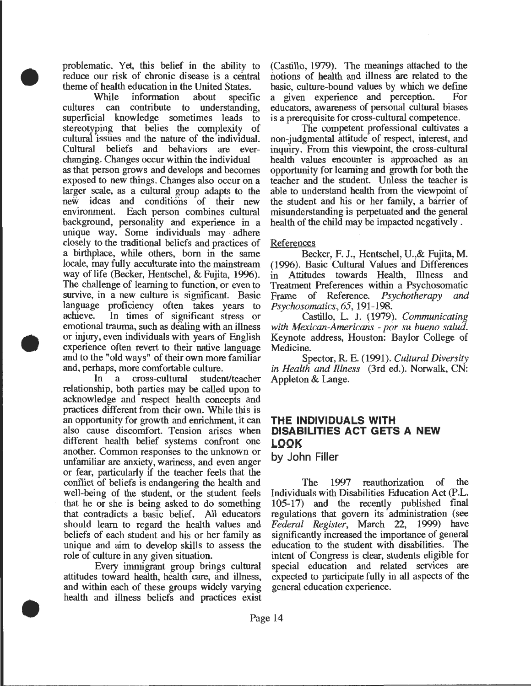problematic. Yet, this belief in the ability to reduce our risk of chronic disease is a central theme of health education in the United States.<br>While information about specif

•

•

•

information about specific cultures can contribute to understanding, superficial knowledge sometimes leads to stereotyping that belies the complexity of cultural issues and the nature of the individual. Cultural beliefs and behaviors are everchanging. Changes occur within the individual as that person grows and develops and becomes exposed to new things. Changes also occur on a larger scale, as a cultural group adapts to the new ideas and conditions of their new environment. Each person combines cultural background, personality and experience in a unique way. Some individuals may adhere closely to the traditional beliefs and practices of a birthplace, while others, born in the same locale, may fully acculturate into the mainstream way of life (Becker, Hentschel, & Fujita, 1996). The challenge of learning to function, or even to survive, in a new culture is significant. Basic language proficiency often takes years to achieve. In times of significant stress or emotional trauma, such as dealing with an illness or injury, even individuals with years of English experience often revert to their native language and to the "old ways" of their own more familiar and, perhaps, more comfortable culture.

In a cross-cultural student/teacher relationship, both parties may be called upon to acknowledge and respect health concepts and practices different from their own. While this is an opportunity for growth and enrichment, it can also cause discomfort. Tension arises when different health belief systems confront one another. Common responses to the unknown or unfamiliar are anxiety, wariness, and even anger or fear, particularly if the teacher feels that the conflict of beliefs is endangering the health and well-being of the student, or the student feels that he or she is being asked to do something that contradicts a basic belief. All educators should learn to regard the health values and beliefs of each student and his or her family as unique and aim to develop skills to assess the role of culture in any given situation.

Every immigrant group brings cultural attitudes toward health, health care, and illness, and within each of these groups widely varying health and illness beliefs and practices exist

(Castillo, 1979). The meanings attached to the notions of heaith and illness "are related to the basic, culture-bound values by which we define<br>a given experience and perception. For a given experience and perception. educators, awareness of personal cultural biases is a prerequisite for cross-cultural competence.

The competent professional cultivates a non-judgmental attitude· of respect, interest, and inquiry. From this viewpoint, the cross-cultural health values encounter is approached as an opportunity for learning and growth for both the teacher and the student. Unless the teacher is able to understand health from the viewpoint of the student and his or her family, a barrier of misunderstanding is perpetuated and the general health of the child may be impacted negatively .

#### **References**

Becker, F. J., Hentschel, U.,& Fujita, M. (1996). Basic Cultural Values and Differences in Attitudes towards Health, Illness and Treatment Preferences within a Psychosomatic<br>Frame of Reference. Psychotherapy and Frame of Reference. *Psychotherapy Psychosomatics, 65,* 191-198.

Castillo, L. J. (1979). *Communicating with Mexican-Americans* - *por su bueno salud.*  Keynote address, Houston: Baylor College of Medicine.

Spector, R. E. (1991). *Cultural Diversity in Health and Illness* (3rd ed.). Norwalk, CN: Appleton & Lange.

## **THE INDIVIDUALS WITH DISABILITIES ACT GETS A NEW LOOK**

**by John Filler** 

The 1997 reauthorization of the Individuals with Disabilities Education Act (P.L. 105-17) and the recently published final regulations that govern its administration (see *Federal Register,* March 22, 1999) have significantly increased the importance of general education to the student with disabilities. The intent of Congress is clear, students eligible for special education and related services are expected to participate fully in all aspects of the general education experience.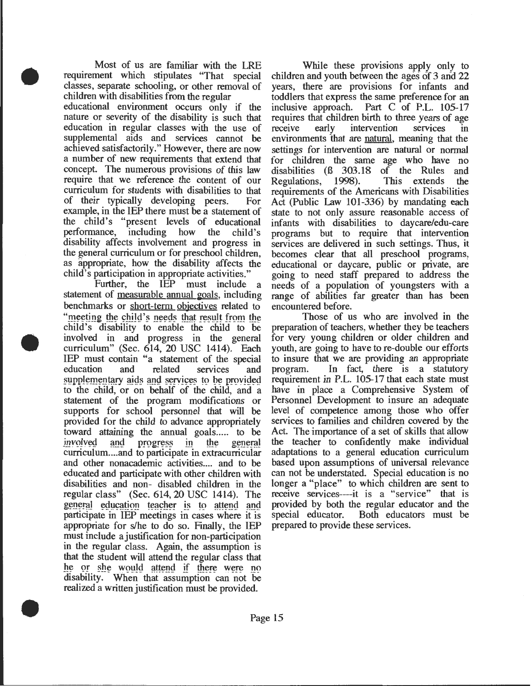Most of us are familiar with the LRE requirement which stipulates "That special classes, separate schooling, or other removal of children with disabilities from the regular educational environment occurs only if the nature or severity of the disability is such that education in regular classes with the use of supplemental aids and services cannot be achieved satisfactorily." However, there are now a number of new requirements that extend that concept. The numerous provisions of this law require that we reference the content of our curriculum for students with disabilities to that of their typically developing peers. For example, in the IEP there must be a statement of the child's "present levels of educational<br>performance, including how the child's performance, including how the disability affects involvement and progress in the general curriculum or for preschool children, as appropriate, how the disability affects the child's participation in appropriate activities."

•

•

•

Further, the IEP must include a statement of <u>measurable annual goals</u>, including benchmarks or short-term objectives related to "meeting the child's needs that result from the child's disability to enable the child to be involved in and progress in the general curriculum" (Sec. 614, 20 USC 1414). Each IEP must contain "a statement of the special education and related services and supplementary aids and services to be provided<br>to the child, or on behalf of the child, and a statement of the program modifications or supports for school personnel that will be provided for the child to advance appropriately toward attaining the annual goals..... to be<br>involved and progress in the general progress in the general curriculum .... and to participate in extracurricular and other nonacademic activities.... and to be educated and participate with other children with disabilities and non- disabled children in the regular class" (Sec. 614, 20 USC 1414). The general education teacher is to attend and participate in IEP meetings in cases where it is appropriate for s/he to do so. Finally, the IEP must include a justification for non-participation in the regular class. Again, the assumption is that the student will attend the regular class that he or she would attend if there were no disability. When that assumption can not be realized a written justification must be provided.

While these provisions apply only to children and youth between the ages of 3 and 22 years, there are provisions for infants and toddlers that express the same preference for an inclusive approach. Part C of P.L. 105-17 requires that children birth to three years of age<br>receive early intervention services in intervention services in environments that are natural, meaning that the settings for intervention are natural or normal for children the same age who have no<br>disabilities (6 303.18 of the Rules and disabilities (8 303.18 of the Rules and Regulations, 1998). This extends the This extends requirements of the Americans with Disabilities Act (Public Law 101-336) by mandating each state to not only assure reasonable access of infants with disabilities to daycare/edu-care programs but to require that intervention services are delivered in such settings. Thus, it becomes clear that all preschool programs, educational or daycare, public or private, are going to need staff prepared to address the needs of a population of youngsters with a range of abilities far greater than has been encountered before.

Those of us who are involved in the preparation of teachers, whether they be teachers for very young children or older children and youth, are going to have to re-double our efforts to insure that we are providing an appropriate program. In fact, there is a statutory requirement in P.L. 105-17 that each state must have in place a Comprehensive System of Personnel Development to insure an adequate level of competence among those who offer services to families and children covered by the Act. The importance of a set of skills that allow the teacher to confidently make individual adaptations to a general education curriculum based upon assumptions of universal relevance can not be understated. Special education is no longer a "place" to which children are sent to receive services----it is a "service" that is provided by both the regular educator and the special educator. Both educators must be prepared to provide these services.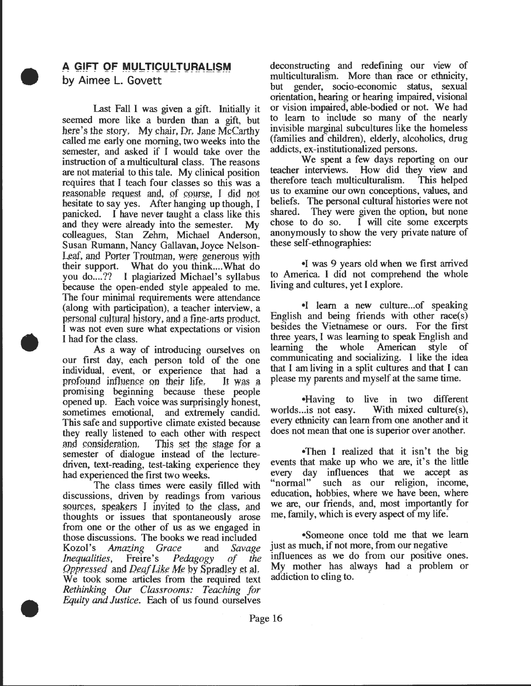## **A GIFT OF MULTICULTURALISM by Aimee L. Govett**

•

•

•

Last Fall I was given a gift. Initially it seemed more like a burden than a gift, but here's the story. My chair, Dr. Jane McCarthy called me early one morning, two weeks into the semester, and asked if I would take over the instruction of a multicultural class. The reasons are not material to this tale. My clinical position reqUires that I teach four classes so this was a reasonable request and, of course. I did not hesitate to say yes. After hanging up though, I pamcked. I have never taught a class like this and they were already into the semester. My colleagues, Stan Zehm, Michael Anderson, Susan Rumann, Nancy Gallavan, Joyce Nelson-Leaf, and Porter Troutman, were generous with their support. What do you think.... What do you do....?? I plagiarized Michael's syllabus because the open-ended style appealed to me. The four minimal requirements were attendance (along with participation), a teacher interview, a personal cultural history, and a fine-arts product, I was not even sure what expectations or vision I had for the class.

As a way of introducing ourselves on our first day, each person told of the one individual, event, or experience that had a profound influence on their life. It was a promising beginning because these people opened up. Each voice was surprisingly honest, sometimes emotional, and extremely candid. This safe and supportive climate existed because they really listened to each other with respect and consideration. This set the stage for a semester of dialogue instead of the lecturedriven, text-reading, test-taking experience they had experienced the first two weeks.

The class times were easily filled with discussions, driven by readings from various sources, speakers I invited to the class, and thoughts or issues that spontaneously arose from one or the other of us as we engaged in those discussions. The books we read included<br>Kozol's Amazing Grace and Savage Amazing Grace and *Savage Inequalities,* Freire's *Pedagogy of the Oppressed* and *Deaf Like Me* by Spradley et aL We took some articles from the required text *Rethinking Our Classrooms: Teaching for Equity and Justice.* Each of us found ourselves

deconstructing and redefining our view of multiculturalism. More than race or ethnicity, but gender, socio-economic status, sexual orientation, hearing or hearing impaired, visional or vision impaired, able-bodied or not. We had to learn to include so many of the nearly invisible marginal subcultures like the homeless (families and children), elderly, alcoholics, drug addicts, ex-institutionalized persons.

We spent a few days reporting on our teacher interviews. How did they view and therefore teach multiculturalism. This helped us to examine our own conceptions, values, and beliefs. The personal cultural histories were not shared. They were given the option, but none chose to do so. I will cite some excerpts anonymously to show the very private nature of these self-ethnographies:

•I was 9 years old when we first arrived to America. I did not comprehend the whole living and cultures, yet I explore.

•I learn a new culture... of speaking English and being friends with other race(s) besides the Vietnamese or ours. For the first three years, I was learning to speak English and learning the whole American style of communicating and socializing. I like the idea that I am living in a split cultures and that I can please my parents and myself at the same time.

•Having to live in two different worlds... is not easy. With mixed culture(s), With mixed culture $(s)$ , every ethnicity can learn from one another and it does not mean that one is superior over another.

•Then I realized that it isn't the big events that make up who we are, it's the little every day influences that we accept as "normal" such as our religion, income, education, hobbies, where we have been, where we are, our friends, and, most importantly for me, family, which is every aspect of my life.

•Someone once told me that we learn just as much, if not more, from our negative influences as we do from our positive ones. My mother has always had a problem or addiction to cling to.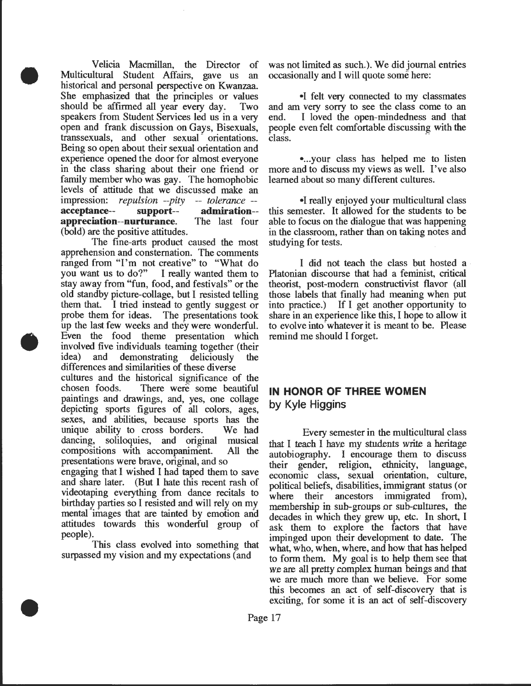Velicia Macmillan, the Director of Multicultural Student Affairs, gave us an historical and personal perspective on Kwanzaa. She emphasized that the principles or values should be affirmed all year every day. Two speakers from Student Services led us in a very open and frank discussion on Gays, Bisexuals, transsexuals, and other sexual orientations. Being so open about their sexual orientation and experience opened the door for almost everyone in the class sharing about their one friend or family member who was gay. The homophobic levels of attitude that we discussed make an impression: *repulsion --pity* -- *tolerance* - **acceptance-- support-- admiration- appreciation--nurturance.** The last four (bold) are the positive attitudes.

•

•

•

The fine-arts product caused the most apprehension and consternation. The comments ranged from "I'm not creative" to "What do<br>you want us to do?" I really wanted them to I really wanted them to stay away from "fun, food, and festivals" or the old standby picture-collage, but I resisted telling them that. I tried instead to gently suggest or probe them for ideas. The presentations took up the last few weeks and they were wonderful. Even the food theme presentation which involved five individuals teaming together (their idea) and demonstrating deliciously the differences and similarities of these diverse

cultures and the historical significance of the chosen foods. There were some beautiful paintings and drawings, and, yes, one collage depicting sports figures of all colors, ages, sexes, and abilities, because sports has the unique ability to cross borders. We had dancing, soliloquies, and original musical compositions with accompaniment. All the presentations were brave, original, and so

engaging that I wished I had taped them to save and share later. (But I hate this recent rash of videotaping everything from dance recitals to birthday parties so I resisted and will rely on my mental images that are tainted by emotion and attitudes towards this wonderful group of people).

This class evolved into something that surpassed my vision and my expectations (and

was not limited as such.). We did journal entries occasionally and I will quote some here:

•I felt very connected to my classmates and am very sorry to see the class come to an end. I loved the open-mindedness and that people even felt comfortable discussing with the class.

• ... your class has helped me to listen more and to discuss my views as well. I've also learned about so many different cultures.

•I really enjoyed your multicultural class this semester. It allowed for the students to be able to focus on the dialogue that was happening in the classroom, rather than on taking notes and studying for tests.

I did not teach the class but hosted a Platonian discourse that had a feminist, critical theorist, post-modem constructivist flavor (all those labels that finally had meaning when put into practice.) If I get another opportunity to share in an experience like this, I hope to allow it to evolve into whatever it is meant to be. Please remind me should I forget.

# **IN HONOR OF THREE WOMEN by Kyle Higgins**

Every semester in the multicultural class that I teach I have my students write a heritage autobiography. I encourage them to discuss their gender, religion, ethnicity, language, economic class, sexual orientation, culture, political beliefs, disabilities, immigrant status (or where their ancestors immigrated from), membership in sub-groups or sub-cultures, the decades in which they grew up, etc. In short, I ask them to explore the factors that have impinged upon their development to date. The what, who, when, where, and how that has helped to form them. My goal is to help them see that \Ve are all pretty complex human beings and that we are much more than we believe. For some this becomes an act of self-discovery that is exciting, for some it is an act of self-discovery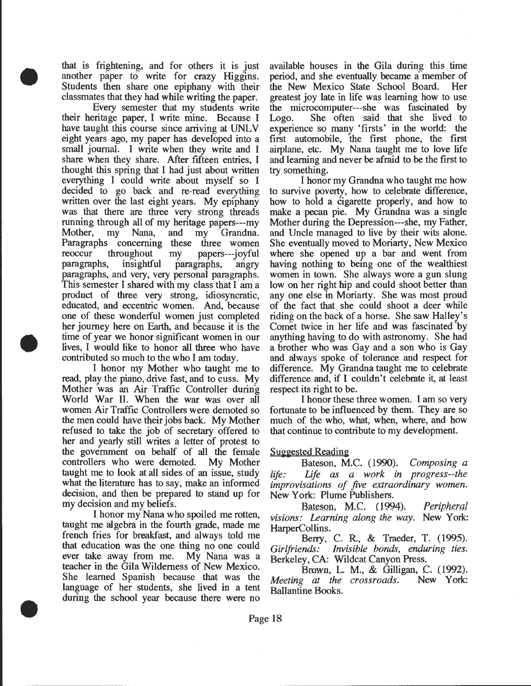that is frightening, and for others it is just another paper to write for crazy Higgins. Students then share one epiphany with their classmates that they had while writing the paper.

•

•

•

Every semester that my students write their heritage paper, I write mine. Because I have taught this course since arriving at UNLV eight years ago, my paper has developed into a small journal. I write when they write and I share when they share. After fifteen entries, I thought this spring that I had just about written everything I could write about myself so I decided to go back and re-read everything written over the last eight years. My epiphany was that there are three very strong threads running through all of my heritage papers---my Mother, my Nana, and my Grandna. Paragraphs concerning these three women reoccur throughout my papers---joyful paragraphs, insightful paragraphs, angry paragraphs, and very, very personal paragraphs. This semester I shared with my class that I am a product of three very strong, idiosyncratic, educated, and eccentric women. And, because one of these wonderful women just completed her journey here on Earth, and because it is the time of year we honor significant women in our lives, I would like to honor all three who have contributed so much to the who I am today.

I honor my Mother who taught me to read, play the piano, drive fast, and to cuss. My Mother was an Air Traffic Controller during World War II. When the war was over all women Air Traffic Controllers were demoted so the men could have their jobs back. My Mother refused to take the job of secretary offered to her and yearly still writes a letter of protest to the government on behalf of all the female controllers who were demoted. My Mother taught me to look at all sides of an issue, study what the literature has to say, make an informed decision, and then be prepared to stand up for my decision and my beliefs.

I honor my Nana who spoiled me rotten, taught me algebra in the fourth grade, made me french fries for breakfast, and always told me that education was the one thing no one could ever take away from me. My Nana was a teacher in the Gila Wilderness of New Mexico. She learned Spanish because that was the language of her students, she lived in a tent during the school year because there were no

available houses in the Gila during this time period, and she eventually became a member of the New Mexico State School Board. Her greatest joy late in life was learning how to use the microcomputer---she was fascinated by Logo. She often said that she lived to experience so many 'firsts' in the world: the first automobile, the first phone, the first airplane, etc. My Nana taught me to love life and learning and never be afraid to be the first to try something.

I honor my Grandna who taught me how to survive poverty, how to celebrate difference, how to hold a cigarette properly, and how to make a pecan pie. My Grandna was a single Mother during the Depression---she, my Father, and Uncle managed to live by their wits alone. She eventually moved to Moriarty, New Mexico where she opened up a bar and went from having nothing to being one of the wealthiest women in town. She always wore a gun slung low on her right hip and could shoot better than any one else in Moriarty. She was most proud of the fact that she could shoot a deer while riding on the back of a horse. She saw Halley's Comet twice in her life and was fascinated by anything having to do with astronomy. She had a brother who was Gay and a son who is Gay and always spoke of tolerance and respect for difference. My Grandna taught me to celebrate difference and, if I couldn't celebrate it, at least respect its right to be.

I honor these three women. I am so very fortunate to be influenced by them. They are so much of the who, what, when, where, and how that continue to contribute to my development.

#### Suggested Reading

Bateson, M.C. (1990). *Composing a life: Life as a work in progress--the improvisations of five extraordinary women.*  New York: Plume Publishers.

Bateson, M.C. (1994). *Peripheral visions: Learning along the way.* New York: HarperCollins.

Berry, C. R., & Traeder, T. (1995). *Girlfriends: Invisible bonds, enduring ties.*  Berkeley, CA: Wildcat Canyon Press.

Brown, L. M., & Gilligan, C. (1992). *Meeting* at *the crossroads.* New York: Ballantine Books.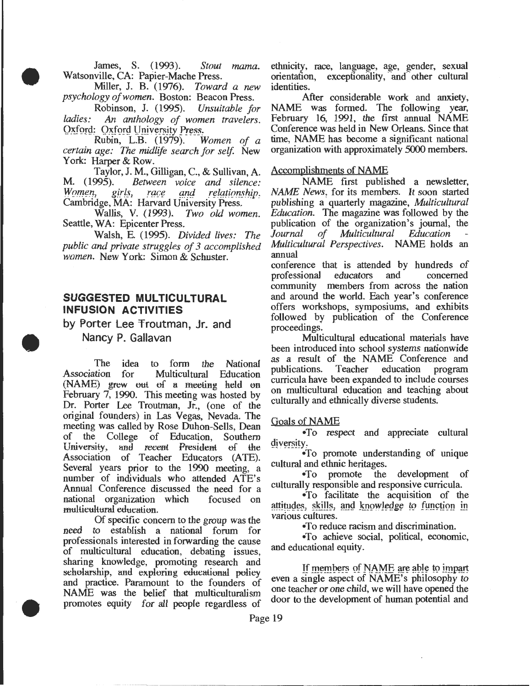James, S. (1993). *Stout mama.*  Watsonville, CA: Papier-Mache Press.

•

•

Miller, J. B. (1976). *Toward a new psychology of women.* Boston: Beacon Press.

Robinson, J. (1995). *Unsuitable for ladies:* An *anthology of women travelers.*  Oxford: Oxford University Press.<br>Rubin, L.B. (1979). Women of a

Rubin, L.B. (1979). *certain age: The midlife search for self.* New York: Harper & Row.

Taylor, J. M., Gilligan, C., & Sullivan, A.<br>M. (1995). Between voice and silence: M. (1995). *Between voice and silence:*  race and relationship. Cambridge, MA: Harvard University Press.

Wallis, V. (1993). *Two old women.*  Seattle, WA: Epicenter Press.

Walsh, E. (1995). *Divided lives: The public and private struggles of 3 accomplished women.* New York: Simon & Schuster.

## **SUGGESTED MULTICULTURAL INFUSION ACTIVITIES**

by Porter Lee 'froutman, Jr. and Nancy P. Gallavan

The idea to form the National<br>tion for Multicultural Education Association for (NAME) grew out of a meeting held on February 7, 1990. This meeting was hosted by Dr. Porter Lee Troutman, Jr., (one of the original founders) in Las Vegas, Nevada. The meeting was called by Rose Duhon-Seils, Dean of the College of Education, Southern University, and recent President of the Association of Teacher Educators (ATE). Several years prior to the 1990 meeting, a number of individuals who attended ATE's Annual Conference discussed the need for a national organization which focused on multieultural education.

Of specific concern to the group was the need to establish a national forum for professionals interested in forwarding the cause of multicultural education, debating issues, sharing knowledge, promoting research and<br>scholarship, and exploring educational policy sharing knowledge, promoting research and<br>sehelarship, and exploring educational policy even a single aspect of NAME's philosophy to<br>and practice. Paramount to the founders of even a single aspect of NAME's philosophy to<br>m NAME was the belief that multiculturalism<br>promotes equity for all people recordless of door to the development of human potential and promotes equity for all people regardless of

ethnicity, race, language, age, gender, sexual orientation, exceptionality, and other cultural identities.

After considerable work and anxiety, NAME was formed. The following year, February 16, 1991, the first annual NAME Conference was held in New Orleans. Since that time, NAME has become a significant national organization with approximately 5000 members.

#### Accomplishments of NAME

NAME first published a newsletter, *NAME News,* for its members. It soon started publishing a quarterly magazine, *Multicultural Education.* The magazine was followed by the publication of the organization's journal, the Journal of Multicultural Education *Multicultural Education Multicultural Perspectives.* NAME holds an annual

conference that is attended by hundreds of professional educators and concerned professional community members from across the nation and around the world. Each year's conference offers workshops, symposiums, and exhibits followed by publication of the Conference proceedings.

Multicultural educational materials have been introduced into school systems nationwide as a result of the NAME Conference and publications. Teacher education program publications. curricula have been expanded to include courses on multicultural education and teaching about culturally and ethnically diverse students.

#### Goals of NAME

•To respect and appreciate cultural diversity.

•To promote understanding of unique cultural and ethnic heritages.

•To promote the development of culturally responsible and responsive curricula.

•To facilitate the acquisition of the attitudes, skills, and knowledge to function in various cultures.

•To reduce racism and discrimination.

•To achieve social, political, economic, and educational equity.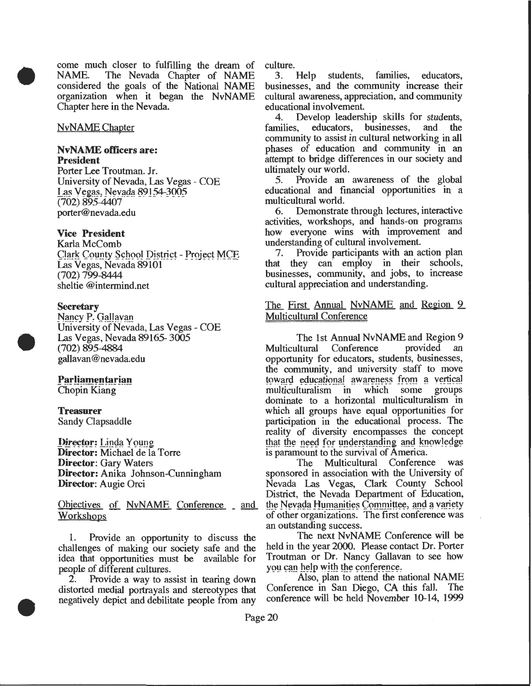• come much closer to fulfilling the dream of<br>NAME. The Nevada Chapter of NAME The Nevada Chapter of NAME considered the goals of the National NAME organization when it began the NvNAME Chapter here in the Nevada.

#### NvNAME Chapter

#### **NvNAME officers are: President**

Porter Lee Troutman. Jr. University of Nevada, Las Vegas - COE Las Vegas, Nevada 89154-3005 (702) 895-4407 porter@nevada.edu

#### **Vice President**

Karla McComb (Jark County School District - Project MCE<br>Las Vegas, Nevada 89101 (702) 799-8444 sheltie @intermind.net

#### **Secretary**

•

•

Nancy P. Gallavan University of Nevada, Las Vegas- COE Las Vegas, Nevada 89165-3005 (702) 895-4884 galla van @nevada.edu

# **Parliamentarian<br>Chopin Kiang**

#### **Treasurer**  Sandy Oapsaddle

Director: Linda Young **Director:** Michael de la Torre **Director:** Gary Waters **Director:** Anika Johnson-Cunningham **Director:** Augie Orci

Objectives of NvNAME Conference and Workshops of other organizations. The first conference was

challenges of making our society safe and the held in the year 2000. Please contact Dr. Porter<br>idea that opportunities must be available for Troutman or Dr. Nancy Gallavan to see how idea that opportunities must be available for people of different cultures.<br>2. Provide a way to assist in tearing down Also, plan to attend the national NAME

negatively depict and debilitate people from any

culture.<br>3. Help students, families, educators, businesses, and the community increase their cultural awareness, appreciation, and community educational involvement.

4. Develop leadership skills for students,<br>milies, educators, businesses, and the families, educators, businesses, community to assist in cultural networking in all phases of education and community in an attempt to bridge differences in our society and ultimately our world.<br>5. Provide an

Provide an awareness of the global educational and financial opportunities in a multicultural world.

6. Demonstrate through lectures, interactive activities, workshops, and hands-on programs how everyone wins with improvement and understanding of cultural involvement.<br>7. Provide participants with an a

Provide participants with an action plan that they can· employ in their schools, businesses, community, and jobs, to increase cultural appreciation and understanding.

#### The First Annual NvNAME and Region 9 Multicultural Conference

The 1st Annual NvNAME and Region 9<br>ultural Conference provided an Multicultural Conference opportunity for educators, students, businesses, the community, and university staff to move toward educational awareness from a vertical multiculturalism in which some groups dominate to a horizontal multiculturalism in which all groups have equal opportunities for participation in the educational process. The reality of diversity encompasses the concept that the need for understanding and knowledge is paramount to the survival of America.

The Multicultural Conference was sponsored in association with the University of Nevada Las Vegas, Oark County School District, the Nevada Department of Education, the Nevada Humanities Committee, and a variety an outstanding success.<br>The next NvNAME Conference will be

1. Provide an opportunity to discuss the The next NVNAME Conference will be I held in the year 2000. Please contact Dr. Porter

2. Provide a way to assist in tearing down Also, plan to attend the national NAME<br>storted medial portravals and stereotynes that Conference in San Diego, CA this fall. The distorted medial portrayals and stereotypes that Conference in San Diego, CA this fall. The negatively depict and debilitate people from any conference will be held November 10-14, 1999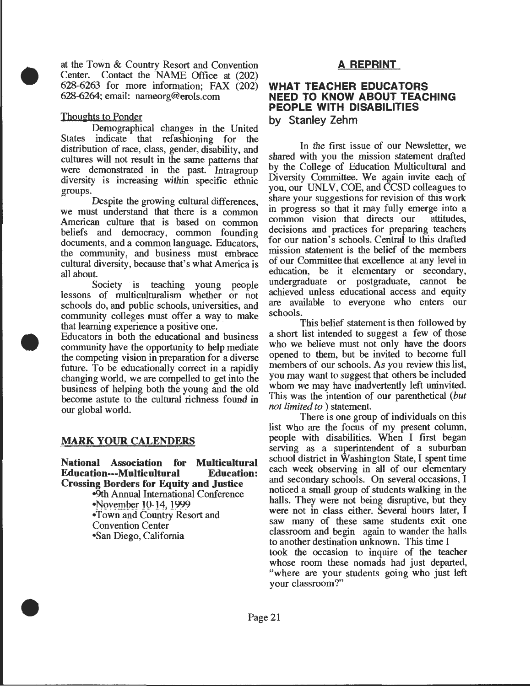at the Town & Country Resort and Convention Center. Contact the NAME Office at (202) 628-6263 for more information; FAX (202) 628-6264; email: nameorg@erols.com

#### Thoughts to Ponder

•

•

•

Demographical changes in the United States indicate that refashioning for the distribution of race, class, gender, disability, and cultures will not result in the same patterns that were demonstrated in the past. Intragroup diversity is increasing within specific ethnic groups.

Despite the growing cultural differences, we must understand that there is a common American culture that is based on common beliefs and democracy, common founding documents, and a common language. Educators, the community, and business must embrace cultural diversity, because that's what America is all about.

Society is teaching young people lessons of multiculturalism whether or not schools do, and public schools, universities, and community colleges must offer a way to make that learning experience a positive one.

Educators in both the educational and business community have the opportunity to help mediate the competing vision in preparation for a diverse future: To be educationally correct in a rapidly changing world, we are compelled to get into the business of helping both the young and the old become astute to the cultural richness found in our global world.

# **MARK YOUR CALENDERS**

**National Association for Multicultural Education---Multicultural Education: Crossing Borders for Equity and Justice** 

-9th Annual International Conference •November 10-14, 1999 •Town and Country Resort and Convention Center •San Diego, California

# **A REPRINT**

# **WHAT TEACHER EDUCATORS NEED TO KNOW ABOUT TEACHING PEOPLE WITH DISABILITIES**

**by Stanley Zehm** 

In the first issue of our Newsletter, we shared with you the mission statement drafted by the College of Education Multicultural and Diversity Committee. We again invite each of you, our UNLV, COE, and CCSD colleagues to share your suggestions for revision of this work in progress so that it may fully emerge into a common vision that directs our decisions and practices for preparing teachers for our nation's schools. Central to this drafted mission statement is the belief of the members of our Committee that excellence at any level in education, be it elementary or secondary, undergraduate or postgraduate, cannot be achieved unless educational access and equity are available to everyone who enters our schools.

This belief statement is then followed by a short list intended to suggest a few of those who we believe must not only have the doors opened to them, but be invited to become full members of our schools. As you review this list, you may want to suggest that others be included whom we may have inadvertently left uninvited. This was the intention of our parenthetical *(but not limited to* ) statement.

There is one group of individuals on this list who are the focus of my present column, people with disabilities. When I first began serving as a superintendent of a suburban school district in Washington State, I spent time each week observing in all of our elementary and secondary schools. On several occasions, I noticed a small group of students walking in the halls. They were not being disruptive, but they were not in class either. Several hours later, I saw many of these same students exit one classroom and begin again to wander the halls to another destination unknown. This time I took the occasion to inquire of the teacher whose room these nomads had just departed, ·•where are your students going who just left your classroom?"

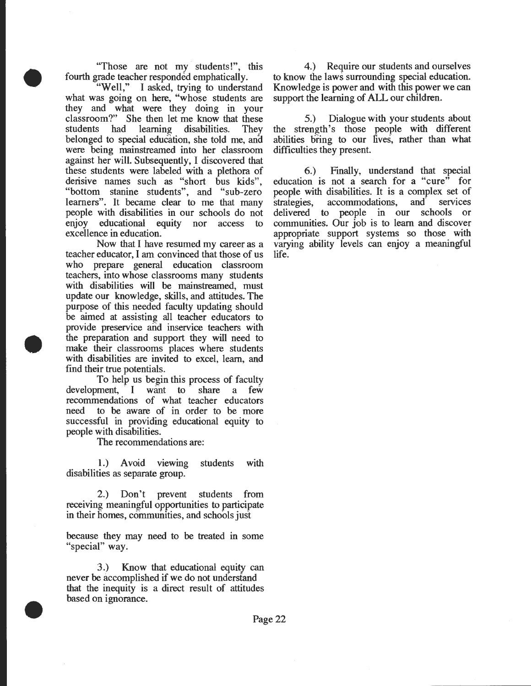"Those are not my students!", this

•

•

•

fourth grade teacher responded emphatically.<br>"Well," I asked, trying to understa I asked, trying to understand what was going on here, "whose students are they and what were they doing in your classroom?" She then let me know that these students had learning disabilities. They belonged to special education, she told me, and were being mainstreamed into her classroom against her will. Subsequently, I discovered that these students were labeled with a plethora of derisive names such as "short bus kids", "bottom stanine students", and "sub-zero learners". It became clear to me that many people with disabilities in our schools do not enjoy educational equity nor access to excellence in education.

Now that I have resumed my career as a teacher educator, I am convinced that those of us who prepare general education classroom teachers, into whose classrooms many students with disabilities will be mainstreamed, must update our knowledge, skills, and attitudes. The purpose of this needed faculty updating should be aimed at assisting all teacher educators to provide preservice and inservice teachers with the preparation and support they will need to make their classrooms places where students with disabilities are invited to excel, learn, and find their true potentials.

To help us begin this process of faculty<br>ment, I want to share a few  $d$ evelopment,  $I$  want to recommendations of what teacher educators need to be aware of in order to be more successful in providing educational equity to people with disabilities.

The recommendations are:

1.) Avoid viewing students with disabilities as separate group.

2.) Don't prevent students from receiving meaningful opportunities to participate in their homes, communities, and schools just

because they may need to be treated in some "special" way.

3.) Know that educational equity can never be accomplished if we do not understand that the inequity is a direct result of attitudes based on ignorance.

4.) Require our students and ourselves to know the laws surrounding special education. Knowledge is power and with this power we can support the learning of ALL our children.

5.) Dialogue with your students about the strength's those people with different abilities bring to our lives, rather than what difficulties they present.

6.) Finally, understand that special education is not a search for a "cure" for people with disabilities. It is a complex set of strategies, accommodations, and services strategies, accommodations, and services delivered to people in our schools or communities. Our job is to learn and discover appropriate support systems so those with varying ability levels can enjoy a meaningful life.